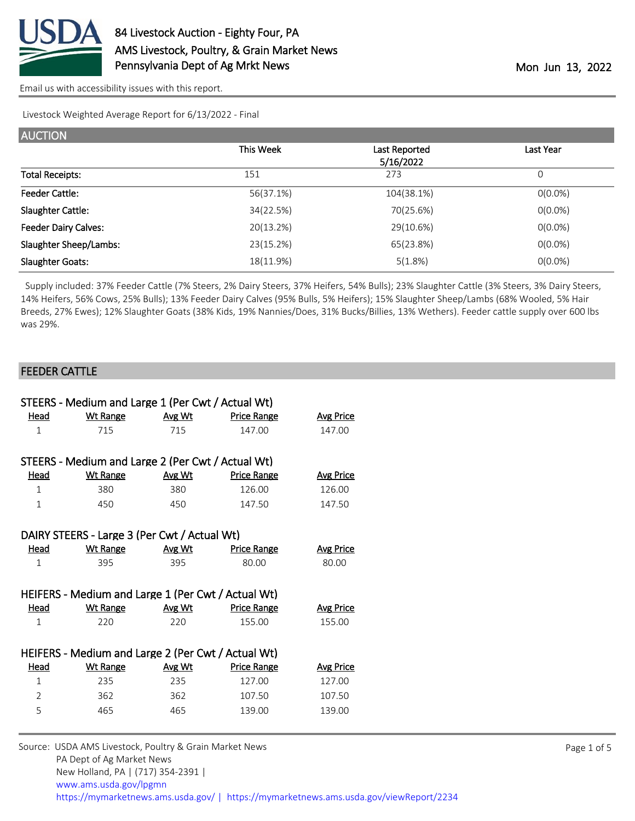

Livestock Weighted Average Report for 6/13/2022 - Final

| <b>AUCTION</b>                |           |                            |            |
|-------------------------------|-----------|----------------------------|------------|
|                               | This Week | Last Reported<br>5/16/2022 | Last Year  |
| <b>Total Receipts:</b>        | 151       | 273                        | 0          |
| <b>Feeder Cattle:</b>         | 56(37.1%) | 104(38.1%)                 | $O(0.0\%)$ |
| Slaughter Cattle:             | 34(22.5%) | 70(25.6%)                  | $O(0.0\%)$ |
| <b>Feeder Dairy Calves:</b>   | 20(13.2%) | 29(10.6%)                  | $0(0.0\%)$ |
| <b>Slaughter Sheep/Lambs:</b> | 23(15.2%) | 65(23.8%)                  | $O(0.0\%)$ |
| <b>Slaughter Goats:</b>       | 18(11.9%) | 5(1.8%)                    | $O(0.0\%)$ |

 Supply included: 37% Feeder Cattle (7% Steers, 2% Dairy Steers, 37% Heifers, 54% Bulls); 23% Slaughter Cattle (3% Steers, 3% Dairy Steers, 14% Heifers, 56% Cows, 25% Bulls); 13% Feeder Dairy Calves (95% Bulls, 5% Heifers); 15% Slaughter Sheep/Lambs (68% Wooled, 5% Hair Breeds, 27% Ewes); 12% Slaughter Goats (38% Kids, 19% Nannies/Does, 31% Bucks/Billies, 13% Wethers). Feeder cattle supply over 600 lbs was 29%.

## FEEDER CATTLE

|              | STEERS - Medium and Large 1 (Per Cwt / Actual Wt)  |        |                    |                  |
|--------------|----------------------------------------------------|--------|--------------------|------------------|
| Head         | <b>Wt Range</b>                                    | Avg Wt | <b>Price Range</b> | <b>Avg Price</b> |
| $\mathbf{1}$ | 715                                                | 715    | 147.00             | 147.00           |
|              |                                                    |        |                    |                  |
|              | STEERS - Medium and Large 2 (Per Cwt / Actual Wt)  |        |                    |                  |
| <b>Head</b>  | <b>Wt Range</b>                                    | Avg Wt | <b>Price Range</b> | <b>Avg Price</b> |
| $\mathbf{1}$ | 380                                                | 380    | 126.00             | 126.00           |
| 1            | 450                                                | 450    | 147.50             | 147.50           |
|              |                                                    |        |                    |                  |
|              | DAIRY STEERS - Large 3 (Per Cwt / Actual Wt)       |        |                    |                  |
| <u>Head</u>  | <u>Wt Range</u>                                    | Avg Wt | <b>Price Range</b> | <b>Avg Price</b> |
| 1            | 395                                                | 395    | 80.00              | 80.00            |
|              |                                                    |        |                    |                  |
|              | HEIFERS - Medium and Large 1 (Per Cwt / Actual Wt) |        |                    |                  |
| Head         | <b>Wt Range</b>                                    | Avg Wt | <b>Price Range</b> | <b>Avg Price</b> |
| 1            | 220                                                | 220    | 155.00             | 155.00           |
|              |                                                    |        |                    |                  |
|              | HEIFERS - Medium and Large 2 (Per Cwt / Actual Wt) |        |                    |                  |
| Head         | <b>Wt Range</b>                                    | Avg Wt | <b>Price Range</b> | <b>Avg Price</b> |
| $\mathbf{1}$ | 235                                                | 235    | 127.00             | 127.00           |
| 2            | 362                                                | 362    | 107.50             | 107.50           |
| 5            | 465                                                | 465    | 139.00             | 139.00           |
|              |                                                    |        |                    |                  |

Source: USDA AMS Livestock, Poultry & Grain Market News PA Dept of Ag Market News New Holland, PA | (717) 354-2391 | [www.ams.usda.gov/lpgmn](https://www.ams.usda.gov/market-news) <https://mymarketnews.ams.usda.gov/> [|](https://www.ams.usda.gov/market-news) <https://mymarketnews.ams.usda.gov/viewReport/2234>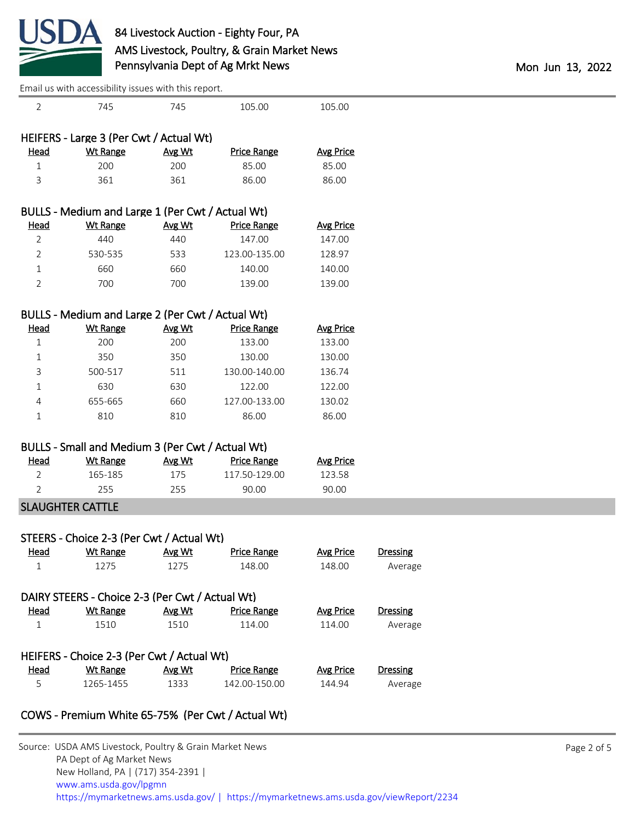

|                | Lindii us with accessibility issues with this report. |        |                    |                  |                 |  |  |
|----------------|-------------------------------------------------------|--------|--------------------|------------------|-----------------|--|--|
| 2              | 745                                                   | 745    | 105.00             | 105.00           |                 |  |  |
|                | HEIFERS - Large 3 (Per Cwt / Actual Wt)               |        |                    |                  |                 |  |  |
| <b>Head</b>    | <b>Wt Range</b>                                       | Avg Wt | <b>Price Range</b> | <b>Avg Price</b> |                 |  |  |
| $\mathbf 1$    | 200                                                   | 200    | 85.00              | 85.00            |                 |  |  |
| 3              | 361                                                   | 361    | 86.00              | 86.00            |                 |  |  |
|                | BULLS - Medium and Large 1 (Per Cwt / Actual Wt)      |        |                    |                  |                 |  |  |
| <b>Head</b>    | <b>Wt Range</b>                                       | Avg Wt | <b>Price Range</b> | <b>Avg Price</b> |                 |  |  |
| 2              | 440                                                   | 440    | 147.00             | 147.00           |                 |  |  |
| 2              | 530-535                                               | 533    | 123.00-135.00      | 128.97           |                 |  |  |
| $\mathbf{1}$   | 660                                                   | 660    | 140.00             | 140.00           |                 |  |  |
| $\overline{2}$ | 700                                                   | 700    | 139.00             | 139.00           |                 |  |  |
|                | BULLS - Medium and Large 2 (Per Cwt / Actual Wt)      |        |                    |                  |                 |  |  |
| <b>Head</b>    | <b>Wt Range</b>                                       | Avg Wt | <b>Price Range</b> | <b>Avg Price</b> |                 |  |  |
| $\mathbf 1$    | 200                                                   | 200    | 133.00             | 133.00           |                 |  |  |
| 1              | 350                                                   | 350    | 130.00             | 130.00           |                 |  |  |
| 3              | 500-517                                               | 511    | 130.00-140.00      | 136.74           |                 |  |  |
| 1              | 630                                                   | 630    | 122.00             | 122.00           |                 |  |  |
| 4              | 655-665                                               | 660    | 127.00-133.00      | 130.02           |                 |  |  |
| 1              | 810                                                   | 810    | 86.00              | 86.00            |                 |  |  |
|                | BULLS - Small and Medium 3 (Per Cwt / Actual Wt)      |        |                    |                  |                 |  |  |
| <b>Head</b>    | <b>Wt Range</b>                                       | Avg Wt | <b>Price Range</b> | <b>Avg Price</b> |                 |  |  |
| 2              | 165-185                                               | 175    | 117.50-129.00      | 123.58           |                 |  |  |
| 2              | 255                                                   | 255    | 90.00              | 90.00            |                 |  |  |
|                | <b>SLAUGHTER CATTLE</b>                               |        |                    |                  |                 |  |  |
|                | STEERS - Choice 2-3 (Per Cwt / Actual Wt)             |        |                    |                  |                 |  |  |
| Head           | <b>Wt Range</b>                                       | Avg Wt | <b>Price Range</b> | <b>Avg Price</b> | <b>Dressing</b> |  |  |
| $\mathbf{1}$   | 1275                                                  | 1275   | 148.00             | 148.00           | Average         |  |  |
|                | DAIRY STEERS - Choice 2-3 (Per Cwt / Actual Wt)       |        |                    |                  |                 |  |  |
| <b>Head</b>    | <b>Wt Range</b>                                       | Avg Wt | <b>Price Range</b> | <b>Avg Price</b> | <b>Dressing</b> |  |  |
| $\mathbf{1}$   | 1510                                                  | 1510   | 114.00             | 114.00           | Average         |  |  |
|                | HEIFERS - Choice 2-3 (Per Cwt / Actual Wt)            |        |                    |                  |                 |  |  |
| <b>Head</b>    | <b>Wt Range</b>                                       | Avg Wt | <b>Price Range</b> | <b>Avg Price</b> | <b>Dressing</b> |  |  |
| 5              | 1265-1455                                             | 1333   | 142.00-150.00      | 144.94           | Average         |  |  |
|                |                                                       |        |                    |                  |                 |  |  |

## COWS - Premium White 65-75% (Per Cwt / Actual Wt)

| Source: USDA AMS Livestock, Poultry & Grain Market News                                |
|----------------------------------------------------------------------------------------|
| PA Dept of Ag Market News                                                              |
| New Holland, PA   (717) 354-2391                                                       |
| www.ams.usda.gov/lpgmn                                                                 |
| https://mymarketnews.ams.usda.gov/   https://mymarketnews.ams.usda.gov/viewReport/2234 |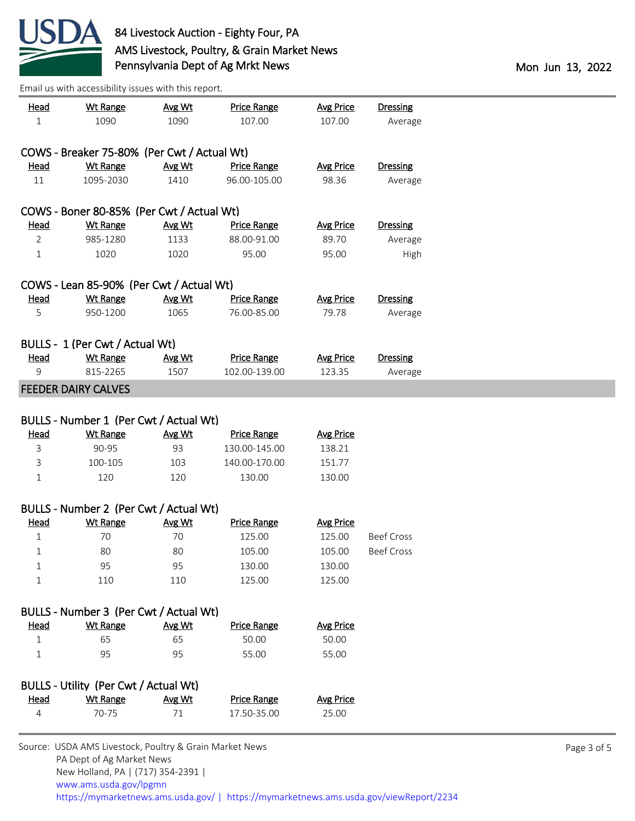

PA Dept of Ag Market News

| <u>Head</u><br>$\mathbf{1}$ | <b>Wt Range</b><br>1090                                 | Avg Wt<br>1090 | <b>Price Range</b><br>107.00 | <b>Avg Price</b><br>107.00 | <b>Dressing</b><br>Average |             |
|-----------------------------|---------------------------------------------------------|----------------|------------------------------|----------------------------|----------------------------|-------------|
|                             | COWS - Breaker 75-80% (Per Cwt / Actual Wt)             |                |                              |                            |                            |             |
| <u>Head</u>                 | <b>Wt Range</b>                                         | Avg Wt         | <b>Price Range</b>           | <b>Avg Price</b>           | <b>Dressing</b>            |             |
| 11                          | 1095-2030                                               | 1410           | 96.00-105.00                 | 98.36                      | Average                    |             |
|                             | COWS - Boner 80-85% (Per Cwt / Actual Wt)               |                |                              |                            |                            |             |
| <b>Head</b>                 | <b>Wt Range</b>                                         | Avg Wt         | <b>Price Range</b>           | <b>Avg Price</b>           | <b>Dressing</b>            |             |
| $\overline{2}$              | 985-1280                                                | 1133           | 88.00-91.00                  | 89.70                      | Average                    |             |
| $\mathbf{1}$                | 1020                                                    | 1020           | 95.00                        | 95.00                      | High                       |             |
|                             | COWS - Lean 85-90% (Per Cwt / Actual Wt)                |                |                              |                            |                            |             |
| <b>Head</b>                 | <b>Wt Range</b>                                         | Avg Wt         | <b>Price Range</b>           | <b>Avg Price</b>           | <b>Dressing</b>            |             |
| 5                           | 950-1200                                                | 1065           | 76.00-85.00                  | 79.78                      | Average                    |             |
|                             | BULLS - 1 (Per Cwt / Actual Wt)                         |                |                              |                            |                            |             |
| <u>Head</u>                 | <b>Wt Range</b>                                         | Avg Wt         | <b>Price Range</b>           | <b>Avg Price</b>           | <b>Dressing</b>            |             |
| 9                           | 815-2265                                                | 1507           | 102.00-139.00                | 123.35                     | Average                    |             |
|                             | <b>FEEDER DAIRY CALVES</b>                              |                |                              |                            |                            |             |
|                             | BULLS - Number 1 (Per Cwt / Actual Wt)                  |                |                              |                            |                            |             |
| <b>Head</b>                 | <b>Wt Range</b>                                         | Avg Wt         | <b>Price Range</b>           | <b>Avg Price</b>           |                            |             |
| 3                           | 90-95                                                   | 93             | 130.00-145.00                | 138.21                     |                            |             |
| 3                           | 100-105                                                 | 103            | 140.00-170.00                | 151.77                     |                            |             |
| $\mathbf 1$                 | 120                                                     | 120            | 130.00                       | 130.00                     |                            |             |
|                             | BULLS - Number 2 (Per Cwt / Actual Wt)                  |                |                              |                            |                            |             |
| <b>Head</b>                 | <b>Wt Range</b>                                         | Avg Wt         | <b>Price Range</b>           | <b>Avg Price</b>           |                            |             |
| $\mathbf 1$                 | 70                                                      | 70             | 125.00                       | 125.00                     | <b>Beef Cross</b>          |             |
| 1                           | 80                                                      | 80             | 105.00                       | 105.00                     | <b>Beef Cross</b>          |             |
| $\mathbf 1$                 | 95                                                      | 95             | 130.00                       | 130.00                     |                            |             |
| 1                           | 110                                                     | 110            | 125.00                       | 125.00                     |                            |             |
|                             | BULLS - Number 3 (Per Cwt / Actual Wt)                  |                |                              |                            |                            |             |
| <b>Head</b>                 | <b>Wt Range</b>                                         | Avg Wt         | <b>Price Range</b>           | <b>Avg Price</b>           |                            |             |
| $\mathbf 1$                 | 65                                                      | 65             | 50.00                        | 50.00                      |                            |             |
| 1                           | 95                                                      | 95             | 55.00                        | 55.00                      |                            |             |
|                             | BULLS - Utility (Per Cwt / Actual Wt)                   |                |                              |                            |                            |             |
| <b>Head</b>                 | <b>Wt Range</b>                                         | Avg Wt         | <b>Price Range</b>           | <b>Avg Price</b>           |                            |             |
| 4                           | 70-75                                                   | 71             | 17.50-35.00                  | 25.00                      |                            |             |
|                             | Source: USDA AMS Livestock, Poultry & Grain Market News |                |                              |                            |                            | Page 3 of 5 |

 New Holland, PA | (717) 354-2391 | [www.ams.usda.gov/lpgmn](https://www.ams.usda.gov/market-news) <https://mymarketnews.ams.usda.gov/> [|](https://www.ams.usda.gov/market-news) <https://mymarketnews.ams.usda.gov/viewReport/2234>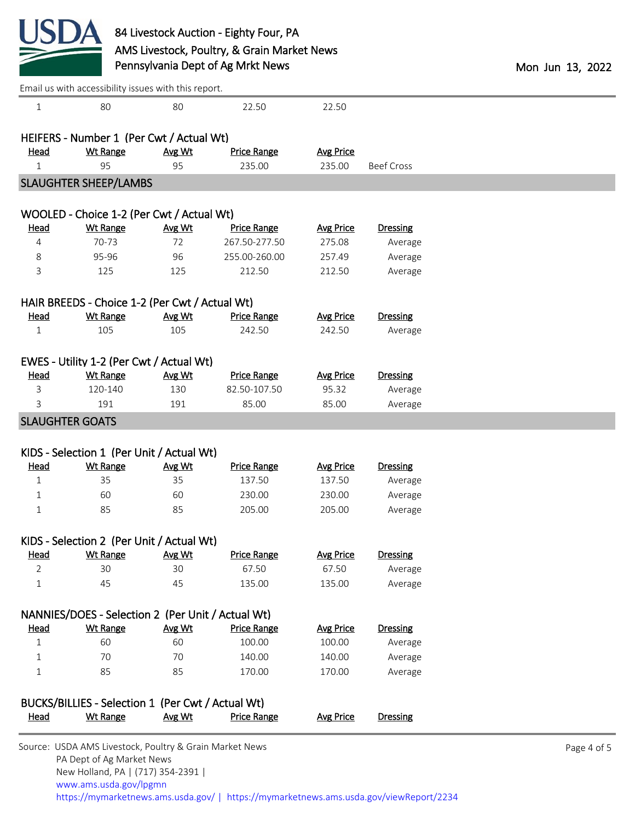

|                | Email us with accessibility issues with this report. |        |                    |                  |                   |  |
|----------------|------------------------------------------------------|--------|--------------------|------------------|-------------------|--|
| $\mathbf{1}$   | 80                                                   | 80     | 22.50              | 22.50            |                   |  |
|                |                                                      |        |                    |                  |                   |  |
|                | HEIFERS - Number 1 (Per Cwt / Actual Wt)             |        |                    |                  |                   |  |
| Head           | <b>Wt Range</b>                                      | Avg Wt | <b>Price Range</b> | <b>Avg Price</b> |                   |  |
| $\mathbf{1}$   | 95                                                   | 95     | 235.00             | 235.00           | <b>Beef Cross</b> |  |
|                | <b>SLAUGHTER SHEEP/LAMBS</b>                         |        |                    |                  |                   |  |
|                |                                                      |        |                    |                  |                   |  |
|                | WOOLED - Choice 1-2 (Per Cwt / Actual Wt)            |        |                    |                  |                   |  |
| <b>Head</b>    | <b>Wt Range</b><br>70-73                             | Avg Wt | <b>Price Range</b> | <b>Avg Price</b> | <b>Dressing</b>   |  |
| 4              |                                                      | 72     | 267.50-277.50      | 275.08           | Average           |  |
| 8              | 95-96                                                | 96     | 255.00-260.00      | 257.49           | Average           |  |
| 3              | 125                                                  | 125    | 212.50             | 212.50           | Average           |  |
|                | HAIR BREEDS - Choice 1-2 (Per Cwt / Actual Wt)       |        |                    |                  |                   |  |
| <b>Head</b>    | <b>Wt Range</b>                                      | Avg Wt | <b>Price Range</b> | <b>Avg Price</b> | <b>Dressing</b>   |  |
| $\mathbf{1}$   | 105                                                  | 105    | 242.50             | 242.50           | Average           |  |
|                |                                                      |        |                    |                  |                   |  |
|                | EWES - Utility 1-2 (Per Cwt / Actual Wt)             |        |                    |                  |                   |  |
| Head           | <b>Wt Range</b>                                      | Avg Wt | <b>Price Range</b> | <b>Avg Price</b> | <b>Dressing</b>   |  |
| 3              | 120-140                                              | 130    | 82.50-107.50       | 95.32            | Average           |  |
| 3              | 191                                                  | 191    | 85.00              | 85.00            | Average           |  |
|                | <b>SLAUGHTER GOATS</b>                               |        |                    |                  |                   |  |
|                |                                                      |        |                    |                  |                   |  |
|                | KIDS - Selection 1 (Per Unit / Actual Wt)            |        |                    |                  |                   |  |
| <b>Head</b>    | <b>Wt Range</b>                                      | Avg Wt | <b>Price Range</b> | <b>Avg Price</b> | Dressing          |  |
| $\mathbf 1$    | 35                                                   | 35     | 137.50             | 137.50           | Average           |  |
| 1              | 60                                                   | 60     | 230.00             | 230.00           | Average           |  |
| $\mathbf{1}$   | 85                                                   | 85     | 205.00             | 205.00           | Average           |  |
|                | KIDS - Selection 2 (Per Unit / Actual Wt)            |        |                    |                  |                   |  |
| <b>Head</b>    | <b>Wt Range</b>                                      | Avg Wt | <b>Price Range</b> | <b>Avg Price</b> | <b>Dressing</b>   |  |
| $\overline{2}$ | 30                                                   | 30     | 67.50              | 67.50            | Average           |  |
| $\mathbf 1$    | 45                                                   | 45     | 135.00             | 135.00           | Average           |  |
|                |                                                      |        |                    |                  |                   |  |
|                | NANNIES/DOES - Selection 2 (Per Unit / Actual Wt)    |        |                    |                  |                   |  |
| Head           | <b>Wt Range</b>                                      | Avg Wt | <b>Price Range</b> | <b>Avg Price</b> | <b>Dressing</b>   |  |
| $\mathbf 1$    | 60                                                   | 60     | 100.00             | 100.00           | Average           |  |
| 1              | 70                                                   | 70     | 140.00             | 140.00           | Average           |  |
| $\mathbf 1$    | 85                                                   | 85     | 170.00             | 170.00           | Average           |  |
|                |                                                      |        |                    |                  |                   |  |
|                | BUCKS/BILLIES - Selection 1 (Per Cwt / Actual Wt)    |        |                    |                  |                   |  |
| <b>Head</b>    | <b>Wt Range</b>                                      | Avg Wt | <b>Price Range</b> | <b>Avg Price</b> | Dressing          |  |